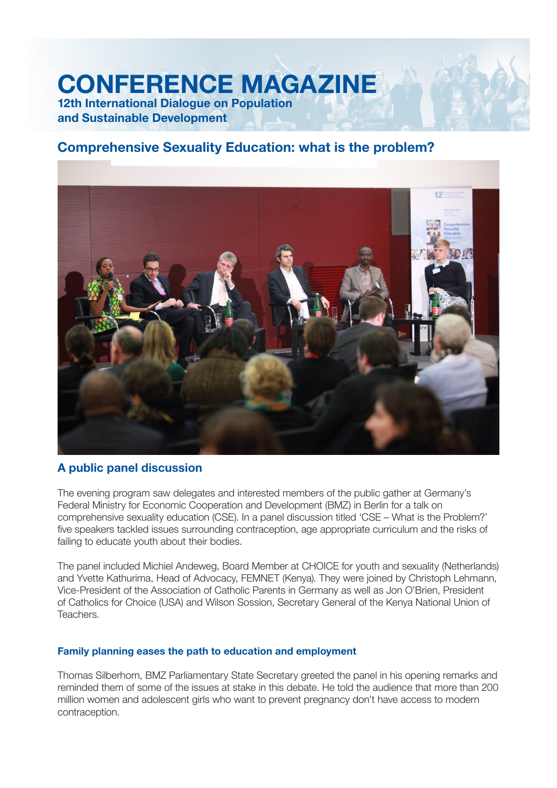# **CONFERENCE MAGAZINE 12th International Dialogue on Population and Sustainable Development**

# **Comprehensive Sexuality Education: what is the problem?**



# **A public panel discussion**

The evening program saw delegates and interested members of the public gather at Germany's Federal Ministry for Economic Cooperation and Development (BMZ) in Berlin for a talk on comprehensive sexuality education (CSE). In a panel discussion titled 'CSE – What is the Problem?' five speakers tackled issues surrounding contraception, age appropriate curriculum and the risks of failing to educate youth about their bodies.

The panel included Michiel Andeweg, Board Member at CHOICE for youth and sexuality (Netherlands) and Yvette Kathurima, Head of Advocacy, FEMNET (Kenya). They were joined by Christoph Lehmann, Vice-President of the Association of Catholic Parents in Germany as well as Jon O'Brien, President of Catholics for Choice (USA) and Wilson Sossion, Secretary General of the Kenya National Union of Teachers.

## **Family planning eases the path to education and employment**

Thomas Silberhorn, BMZ Parliamentary State Secretary greeted the panel in his opening remarks and reminded them of some of the issues at stake in this debate. He told the audience that more than 200 million women and adolescent girls who want to prevent pregnancy don't have access to modern contraception.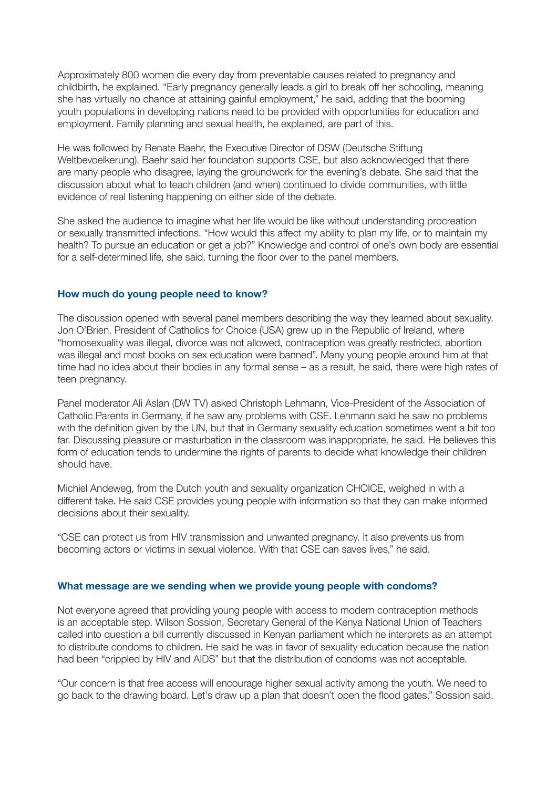Approximately 800 women die every day from preventable causes related to pregnancy and childbirth, he explained. "Early pregnancy generally leads a girl to break off her schooling, meaning she has virtually no chance at attaining gainful employment," he said, adding that the booming youth populations in developing nations need to be provided with opportunities for education and employment. Family planning and sexual health, he explained, are part of this.

He was followed by Renate Baehr, the Executive Director of DSW (Deutsche Stiftung Weltbeyoelkerung). Baehr said her foundation supports CSE, but also acknowledged that there are many people who disagree, laying the groundwork for the evening's debate. She said that the discussion about what to teach children (and when) continued to divide communities, with little evidence of real listening happening on either side of the debate.

She asked the audience to imagine what her life would be like without understanding procreation or sexually transmitted infections, "How would this affect my ability to plan my life, or to maintain my health? To pursue an education or get a job?" Knowledge and control of one's own body are essential for a self-determined life, she said, turning the floor over to the panel members.

### **How much do young people need to know?**

The discussion opened with several panel members describing the way they learned about sexuality. Jon O'Brien, President of Catholics for Choice (USA) grew up in the Republic of Ireland, where "homosexuality was illegal, divorce was not allowed, contraception was greatly restricted, abortion was illegal and most books on sex education were banned". Many young people around him at that time had no idea about their bodies in any formal sense – as a result, he said, there were high rates of teen pregnancy.

Panel moderator Ali Aslan (DW TV) asked Christoph Lehmann, Vice-President of the Association of Catholic Parents in Germany, if he saw any problems with CSE, Lehmann said he saw no problems with the definition given by the UN, but that in Germany sexuality education sometimes went a bit too far. Discussing pleasure or masturbation in the classroom was inappropriate, he said. He believes this form of education tends to undermine the rights of parents to decide what knowledge their children should have.

Michiel Andeweg, from the Dutch youth and sexuality organization CHOICE, weighed in with a different take. He said CSE provides young people with information so that they can make informed decisions about their sexuality.

"CSE can protect us from HIV transmission and unwanted pregnancy. It also prevents us from becoming actors or victims in sexual violence. With that CSE can saves lives," he said.

#### **What message are we sending when we provide young people with condoms?**

Not everyone agreed that providing young people with access to modern contraception methods is an acceptable step. Wilson Sossion, Secretary General of the Kenya National Union of Teachers called into question a bill currently discussed in Kenyan parliament which he interprets as an attempt to distribute condoms to children. He said he was in favor of sexuality education because the nation had been "crippled by HIV and AIDS" but that the distribution of condoms was not acceptable.

"Our concern is that free access will encourage higher sexual activity among the youth. We need to go back to the drawing board. Let's draw up a plan that doesn't open the flood gates," Sossion said.